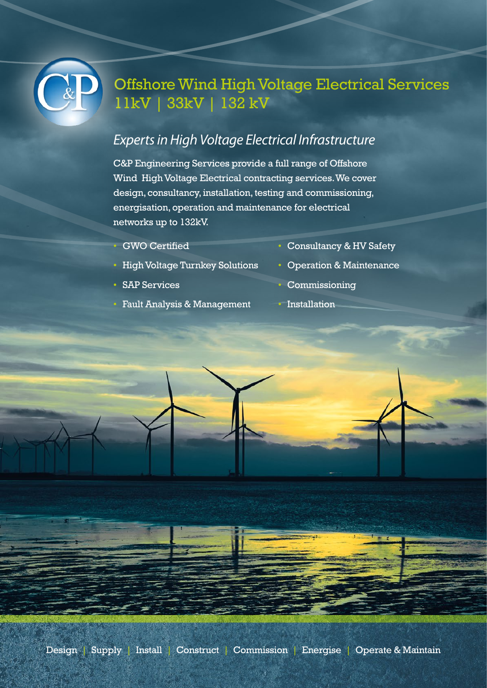

## Offshore Wind High Voltage Electrical Services 11kV | 33kV | 132 kV

## *Experts in High Voltage Electrical Infrastructure*

C&P Engineering Services provide a full range of Offshore Wind High Voltage Electrical contracting services. We cover design, consultancy, installation, testing and commissioning, energisation, operation and maintenance for electrical networks up to 132kV.

• GWO Certified

- Consultancy & HV Safety
- High Voltage Turnkey Solutions
- SAP Services
- Fault Analysis & Management
- Operation & Maintenance
- Commissioning
- Installation